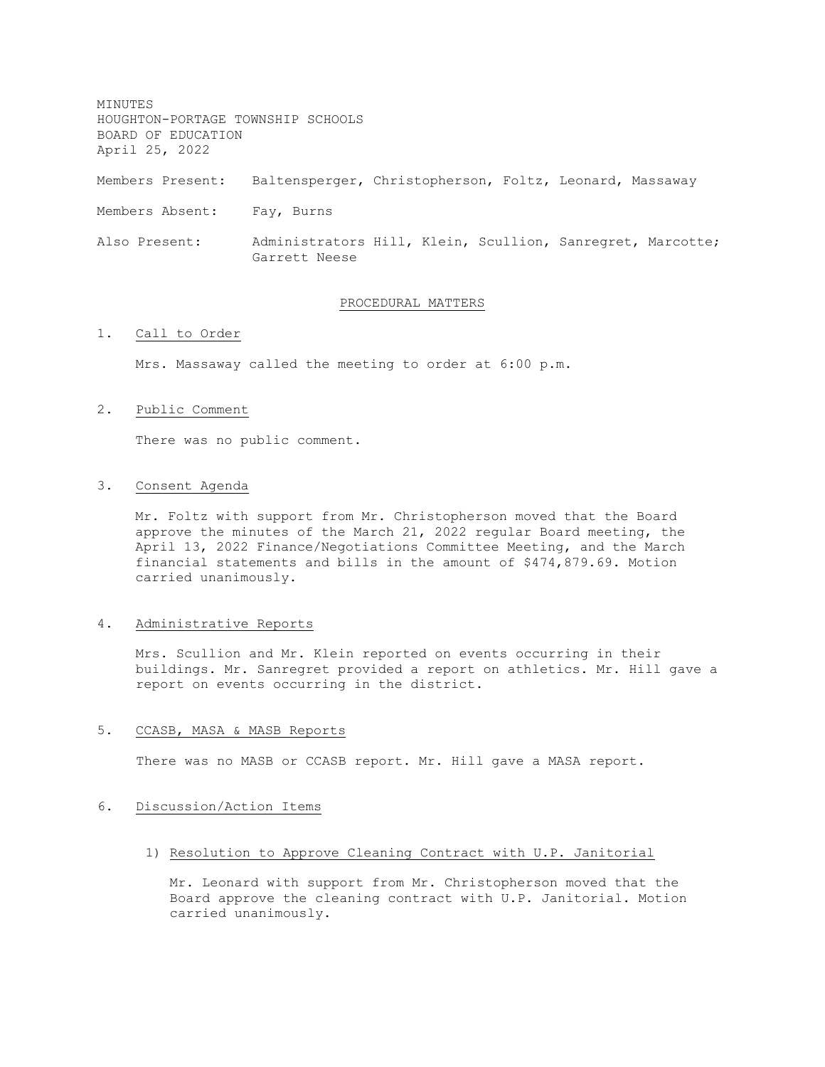MINUTES HOUGHTON-PORTAGE TOWNSHIP SCHOOLS BOARD OF EDUCATION April 25, 2022 Members Present: Baltensperger, Christopherson, Foltz, Leonard, Massaway Members Absent: Fay, Burns Also Present: Administrators Hill, Klein, Scullion, Sanregret, Marcotte; Garrett Neese

#### PROCEDURAL MATTERS

# 1. Call to Order

Mrs. Massaway called the meeting to order at 6:00 p.m.

#### 2. Public Comment

There was no public comment.

#### 3. Consent Agenda

Mr. Foltz with support from Mr. Christopherson moved that the Board approve the minutes of the March 21, 2022 regular Board meeting, the April 13, 2022 Finance/Negotiations Committee Meeting, and the March financial statements and bills in the amount of \$474,879.69. Motion carried unanimously.

### 4. Administrative Reports

Mrs. Scullion and Mr. Klein reported on events occurring in their buildings. Mr. Sanregret provided a report on athletics. Mr. Hill gave a report on events occurring in the district.

# 5. CCASB, MASA & MASB Reports

There was no MASB or CCASB report. Mr. Hill gave a MASA report.

# 6. Discussion/Action Items

# 1) Resolution to Approve Cleaning Contract with U.P. Janitorial

Mr. Leonard with support from Mr. Christopherson moved that the Board approve the cleaning contract with U.P. Janitorial. Motion carried unanimously.